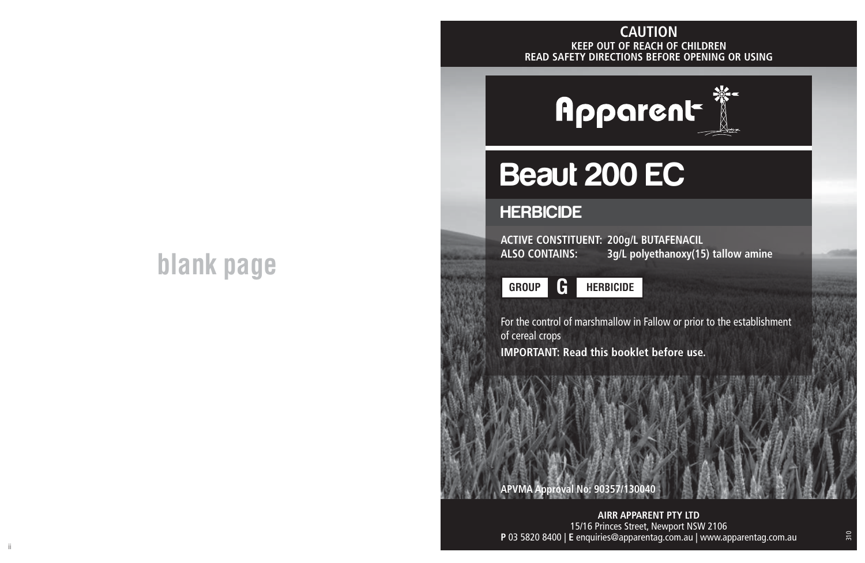## **KEEP OUT OF REACH OF CHILDREN READ SAFETY DIRECTIONS BEFORE OPENING OR USING CAUTION**

## **blank page**

# **Apparent**

# Beaut 200 EC

### **HERBICIDE**

**ACTIVE CONSTITUENT: 200g/L BUTAFENACIL**  $3q/L$  polyethanoxy(15) tallow amine

**GROUP HERBICIDE**

For the control of marshmallow in Fallow or prior to the establishment of cereal crops

**IMPORTANT: Read this booklet before use.**

**APVMA Approval No: 90357/130040**

ii aastad oo dhaqaala iyo dadka waxaa laga sadanka waxaa laga sadanka waxaa laga sadanka waxaa laga sadanka wa **AIRR APPARENT PTY LTD** 15/16 Princes Street, Newport NSW 2106 **P** 03 5820 8400 | **E** enquiries@apparentag.com.au | www.apparentag.com.au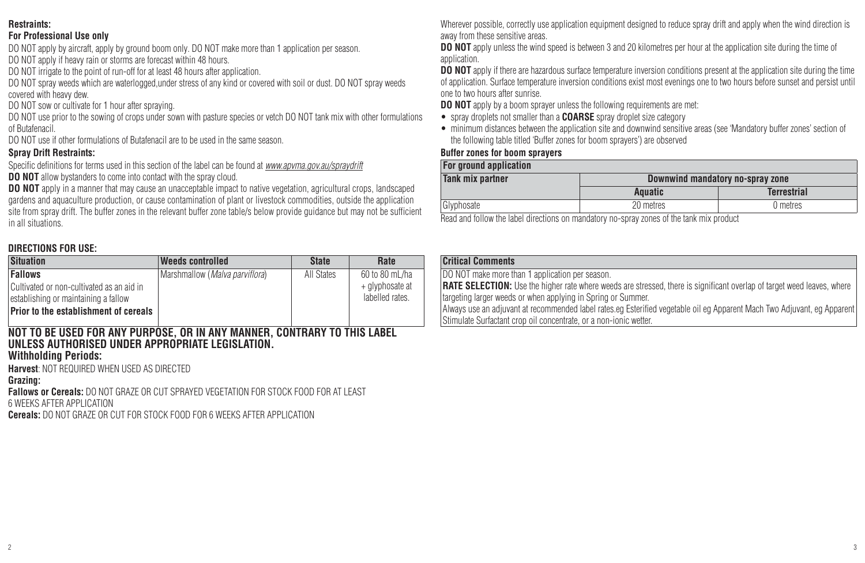#### **Restraints:**

#### **For Professional Use only**

DO NOT apply by aircraft, apply by ground boom only. DO NOT make more than 1 application per season. DO NOT apply if heavy rain or storms are forecast within 48 hours.

DO NOT irrigate to the point of run-off for at least 48 hours after application.

DO NOT spray weeds which are waterlogged,under stress of any kind or covered with soil or dust. DO NOT spray weeds covered with heavy dew.

DO NOT sow or cultivate for 1 hour after spraying.

DO NOT use prior to the sowing of crops under sown with pasture species or vetch DO NOT tank mix with other formulations of Butafenacil.

DO NOT use if other formulations of Butafenacil are to be used in the same season.

#### **Spray Drift Restraints:**

Specific definitions for terms used in this section of the label can be found at *www.apvma.gov.au/spraydrift*

**DO NOT** allow bystanders to come into contact with the spray cloud.

**DO NOT** apply in a manner that may cause an unacceptable impact to native vegetation, agricultural crops, landscaped gardens and aquaculture production, or cause contamination of plant or livestock commodities, outside the application site from spray drift. The buffer zones in the relevant buffer zone table/s below provide guidance but may not be sufficient in all situations.

#### **DIRECTIONS FOR USE:**

| <b>Situation</b>                                                                                     | <b>Weeds controlled</b>                 | <b>State</b> | Rate                                                 |
|------------------------------------------------------------------------------------------------------|-----------------------------------------|--------------|------------------------------------------------------|
| <b>Fallows</b><br>Cultivated or non-cultivated as an aid in<br>lestablishing or maintaining a fallow | Marshmallow ( <i>Malva parviflora</i> ) | All States   | 60 to 80 mL/ha<br>+ glyphosate at<br>labelled rates. |
| Prior to the establishment of cereals                                                                |                                         |              |                                                      |

#### **NOT TO BE USED FOR ANY PURPOSE, OR IN ANY MANNER, CONTRARY TO THIS LABEL UNLESS AUTHORISED UNDER APPROPRIATE LEGISLATION.**

#### **Withholding Periods:**

**Harvest**: NOT REQUIRED WHEN USED AS DIRECTED

#### **Grazing:**

**Fallows or Cereals:** DO NOT GRAZE OR CUT SPRAYED VEGETATION FOR STOCK FOOD FOR AT LEAST

6 WEEKS AFTER APPLICATION

**Cereals:** DO NOT GRAZE OR CUT FOR STOCK FOOD FOR 6 WEEKS AFTER APPLICATION

Wherever possible, correctly use application equipment designed to reduce spray drift and apply when the wind direction is away from these sensitive areas.

**DO NOT** apply unless the wind speed is between 3 and 20 kilometres per hour at the application site during the time of application.

**DO NOT** apply if there are hazardous surface temperature inversion conditions present at the application site during the time of application. Surface temperature inversion conditions exist most evenings one to two hours before sunset and persist until one to two hours after sunrise.

**DO NOT** apply by a boom sprayer unless the following requirements are met:

- spray droplets not smaller than a **COARSE** spray droplet size category
- minimum distances between the application site and downwind sensitive areas (see 'Mandatory buffer zones' section of the following table titled 'Buffer zones for boom sprayers') are observed

#### **Buffer zones for boom sprayers**

| For ground application  |                                  |                    |  |  |
|-------------------------|----------------------------------|--------------------|--|--|
| <b>Tank mix partner</b> | Downwind mandatory no-spray zone |                    |  |  |
|                         | Aquatic                          | <b>Terrestrial</b> |  |  |
| Glyphosate              | 20 metres                        | 0 metres           |  |  |

Read and follow the label directions on mandatory no-spray zones of the tank mix product

#### **Critical Comments**

DO NOT make more than 1 application per season.

**RATE SELECTION:** Use the higher rate where weeds are stressed, there is significant overlap of target weed leaves, where targeting larger weeds or when applying in Spring or Summer.

Always use an adjuvant at recommended label rates.eg Esterified vegetable oil eg Apparent Mach Two Adjuvant, eg Apparent Stimulate Surfactant crop oil concentrate, or a non-ionic wetter.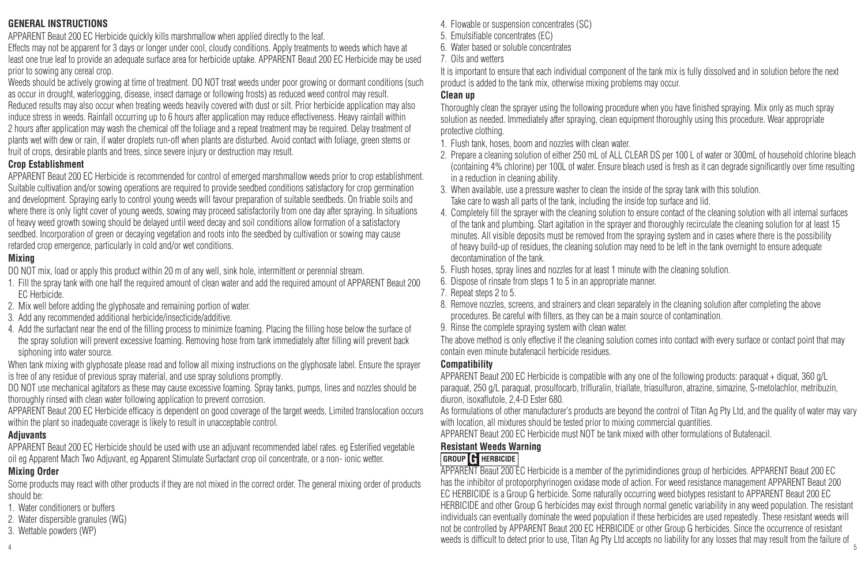#### **GENERAL INSTRUCTIONS**

APPARENT Beaut 200 EC Herbicide quickly kills marshmallow when applied directly to the leaf.

Effects may not be apparent for 3 days or longer under cool, cloudy conditions. Apply treatments to weeds which have at least one true leaf to provide an adequate surface area for herbicide uptake. APPARENT Beaut 200 EC Herbicide may be used prior to sowing any cereal crop.

Weeds should be actively growing at time of treatment. DO NOT treat weeds under poor growing or dormant conditions (such as occur in drought, waterlogging, disease, insect damage or following frosts) as reduced weed control may result. Reduced results may also occur when treating weeds heavily covered with dust or silt. Prior herbicide application may also induce stress in weeds. Rainfall occurring up to 6 hours after application may reduce effectiveness. Heavy rainfall within 2 hours after application may wash the chemical off the foliage and a repeat treatment may be required. Delay treatment of plants wet with dew or rain, if water droplets run-off when plants are disturbed. Avoid contact with foliage, green stems or fruit of crops, desirable plants and trees, since severe injury or destruction may result.

#### **Crop Establishment**

APPARENT Beaut 200 EC Herbicide is recommended for control of emerged marshmallow weeds prior to crop establishment. Suitable cultivation and/or sowing operations are required to provide seedbed conditions satisfactory for crop germination and development. Spraying early to control young weeds will favour preparation of suitable seedbeds. On friable soils and where there is only light cover of young weeds, sowing may proceed satisfactorily from one day after spraying. In situations of heavy weed growth sowing should be delayed until weed decay and soil conditions allow formation of a satisfactory seedbed. Incorporation of green or decaying vegetation and roots into the seedbed by cultivation or sowing may cause retarded crop emergence, particularly in cold and/or wet conditions.

#### **Mixing**

DO NOT mix, load or apply this product within 20 m of any well, sink hole, intermittent or perennial stream.

- 1. Fill the spray tank with one half the required amount of clean water and add the required amount of APPARENT Beaut 200 EC Herbicide.
- 2. Mix well before adding the glyphosate and remaining portion of water.
- 3. Add any recommended additional herbicide/insecticide/additive.
- 4. Add the surfactant near the end of the filling process to minimize foaming. Placing the filling hose below the surface of the spray solution will prevent excessive foaming. Removing hose from tank immediately after filling will prevent back siphoning into water source.

When tank mixing with glyphosate please read and follow all mixing instructions on the glyphosate label. Ensure the sprayer is free of any residue of previous spray material, and use spray solutions promptly.

DO NOT use mechanical agitators as these may cause excessive foaming. Spray tanks, pumps, lines and nozzles should be thoroughly rinsed with clean water following application to prevent corrosion.

APPARENT Beaut 200 EC Herbicide efficacy is dependent on good coverage of the target weeds. Limited translocation occurs within the plant so inadequate coverage is likely to result in unacceptable control.

#### **Adjuvants**

APPARENT Beaut 200 EC Herbicide should be used with use an adjuvant recommended label rates. eg Esterified vegetable oil eg Apparent Mach Two Adjuvant, eg Apparent Stimulate Surfactant crop oil concentrate, or a non- ionic wetter.

#### **Mixing Order**

Some products may react with other products if they are not mixed in the correct order. The general mixing order of products should be:

- 1. Water conditioners or buffers
- 2. Water dispersible granules (WG)
- 3. Wettable powders (WP)
- 4. Flowable or suspension concentrates (SC)
- 5. Emulsifiable concentrates (EC)
- 6. Water based or soluble concentrates
- 7. Oils and wetters

It is important to ensure that each individual component of the tank mix is fully dissolved and in solution before the next product is added to the tank mix, otherwise mixing problems may occur.

#### **Clean up**

Thoroughly clean the sprayer using the following procedure when you have finished spraying. Mix only as much spray solution as needed. Immediately after spraying, clean equipment thoroughly using this procedure. Wear appropriate protective clothing.

- 1. Flush tank, hoses, boom and nozzles with clean water.
- 2. Prepare a cleaning solution of either 250 mL of ALL CLEAR DS per 100 L of water or 300mL of household chlorine bleach (containing 4% chlorine) per 100L of water. Ensure bleach used is fresh as it can degrade significantly over time resulting in a reduction in cleaning ability.
- 3. When available, use a pressure washer to clean the inside of the spray tank with this solution. Take care to wash all parts of the tank, including the inside top surface and lid.
- 4. Completely fill the sprayer with the cleaning solution to ensure contact of the cleaning solution with all internal surfaces of the tank and plumbing. Start agitation in the sprayer and thoroughly recirculate the cleaning solution for at least 15 minutes. All visible deposits must be removed from the spraying system and in cases where there is the possibility of heavy build-up of residues, the cleaning solution may need to be left in the tank overnight to ensure adequate decontamination of the tank.
- 5. Flush hoses, spray lines and nozzles for at least 1 minute with the cleaning solution.
- 6. Dispose of rinsate from steps 1 to 5 in an appropriate manner.
- 7. Repeat steps 2 to 5.
- 8. Remove nozzles, screens, and strainers and clean separately in the cleaning solution after completing the above procedures. Be careful with filters, as they can be a main source of contamination.
- 9. Rinse the complete spraying system with clean water.

The above method is only effective if the cleaning solution comes into contact with every surface or contact point that may contain even minute butafenacil herbicide residues.

#### **Compatibility**

APPARENT Beaut 200 EC Herbicide is compatible with any one of the following products: paraquat + diquat, 360 g/L paraquat, 250 g/L paraquat, prosulfocarb, trifluralin, triallate, triasulfuron, atrazine, simazine, S-metolachlor, metribuzin, diuron, isoxaflutole, 2,4-D Ester 680.

As formulations of other manufacturer's products are beyond the control of Titan Ag Pty Ltd, and the quality of water may vary with location, all mixtures should be tested prior to mixing commercial quantities.

APPARENT Beaut 200 EC Herbicide must NOT be tank mixed with other formulations of Butafenacil.

#### **Resistant Weeds Warning**

#### **GROUP G HERBICIDE**

weeds is difficult to detect prior to use, Titan Ag Pty Ltd accepts no liability for any losses that may result from the failure of  $_5$ APPARENT Beaut 200 EC Herbicide is a member of the pyrimidindiones group of herbicides. APPARENT Beaut 200 EC has the inhibitor of protoporphyrinogen oxidase mode of action. For weed resistance management APPARENT Beaut 200 EC HERBICIDE is a Group G herbicide. Some naturally occurring weed biotypes resistant to APPARENT Beaut 200 EC HERBICIDE and other Group G herbicides may exist through normal genetic variability in any weed population. The resistant individuals can eventually dominate the weed population if these herbicides are used repeatedly. These resistant weeds will not be controlled by APPARENT Beaut 200 EC HERBICIDE or other Group G herbicides. Since the occurrence of resistant